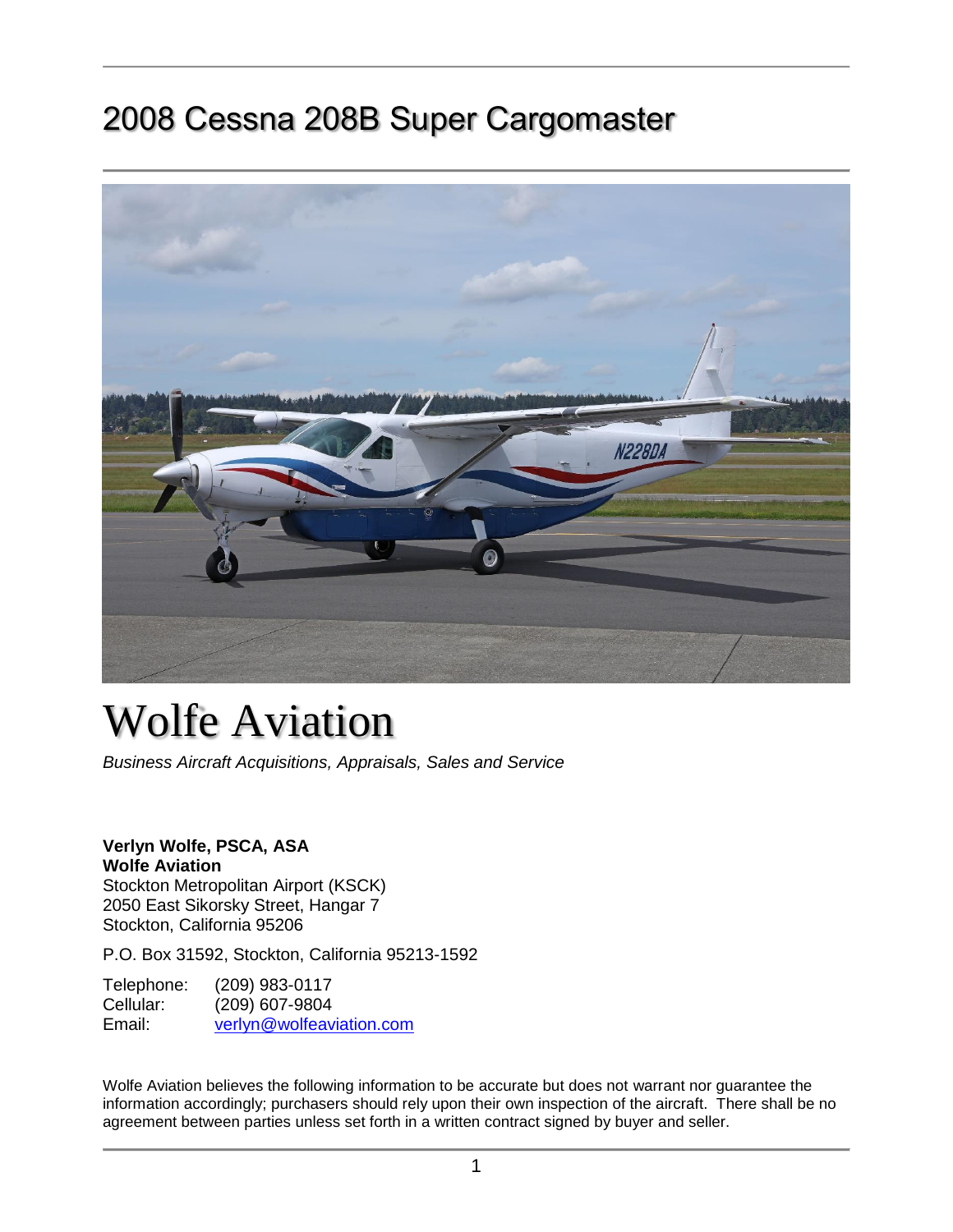## 2008 Cessna 208B Super Cargomaster



# Wolfe Aviation

*Business Aircraft Acquisitions, Appraisals, Sales and Service*

#### **Verlyn Wolfe, PSCA, ASA Wolfe Aviation** Stockton Metropolitan Airport (KSCK)

2050 East Sikorsky Street, Hangar 7 Stockton, California 95206

P.O. Box 31592, Stockton, California 95213-1592

Telephone: (209) 983-0117<br>Cellular: (209) 607-9804 (209) 607-9804 Email: [verlyn@wolfeaviation.com](mailto:sales@wolfeaviation.com?subject=Wolfe%20Aviation%20-%20N228DA%20-%202008%20Cessna%20208B%20Super%20Cargomaster%20sn:%20208B2052)

Wolfe Aviation believes the following information to be accurate but does not warrant nor guarantee the information accordingly; purchasers should rely upon their own inspection of the aircraft. There shall be no agreement between parties unless set forth in a written contract signed by buyer and seller.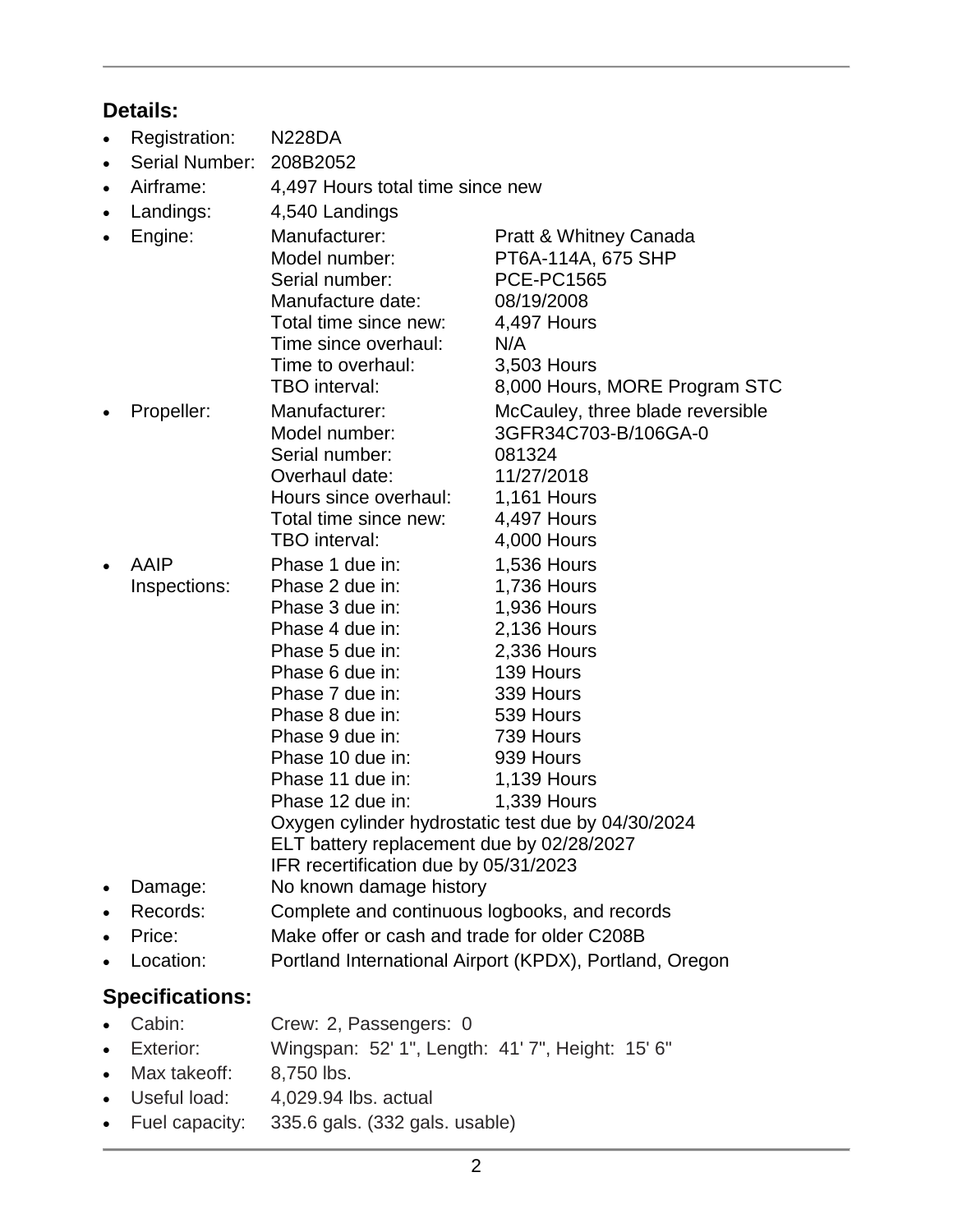### **Details:**

- Registration: N228DA
- Serial Number: 208B2052
- Airframe: 4,497 Hours total time since new
- Landings: 4,540 Landings
- Engine: Manufacturer: Pratt & Whitney Canada Model number: PT6A-114A, 675 SHP Serial number: PCE-PC1565 Manufacture date: 08/19/2008 Total time since new: 4,497 Hours Time since overhaul: N/A Time to overhaul: 3,503 Hours TBO interval: 8,000 Hours, MORE Program STC • Propeller: Manufacturer: McCauley, three blade reversible Model number: 3GFR34C703-B/106GA-0 Serial number: 081324 Overhaul date: 11/27/2018 Hours since overhaul: 1.161 Hours Total time since new: 4,497 Hours TBO interval: 4,000 Hours AAIP Phase 1 due in: 1,536 Hours Inspections: Phase 2 due in: 1,736 Hours Phase 3 due in: 1,936 Hours Phase 4 due in: 2,136 Hours Phase 5 due in: 2,336 Hours Phase 6 due in: 139 Hours Phase 7 due in: 339 Hours Phase 8 due in: 539 Hours Phase 9 due in: 739 Hours Phase 10 due in: 939 Hours Phase 11 due in: 1,139 Hours Phase 12 due in: 1.339 Hours Oxygen cylinder hydrostatic test due by 04/30/2024 ELT battery replacement due by 02/28/2027 IFR recertification due by 05/31/2023 Damage: No known damage history Records: Complete and continuous logbooks, and records • Price: Make offer or cash and trade for older C208B
- Location: Portland International Airport (KPDX), Portland, Oregon

#### **Specifications:**

- Cabin: Crew: 2, Passengers: 0
- Exterior: Wingspan: 52' 1", Length: 41' 7", Height: 15' 6"
- Max takeoff: 8.750 lbs.
- Useful load: 4,029.94 lbs. actual
- Fuel capacity: 335.6 gals. (332 gals. usable)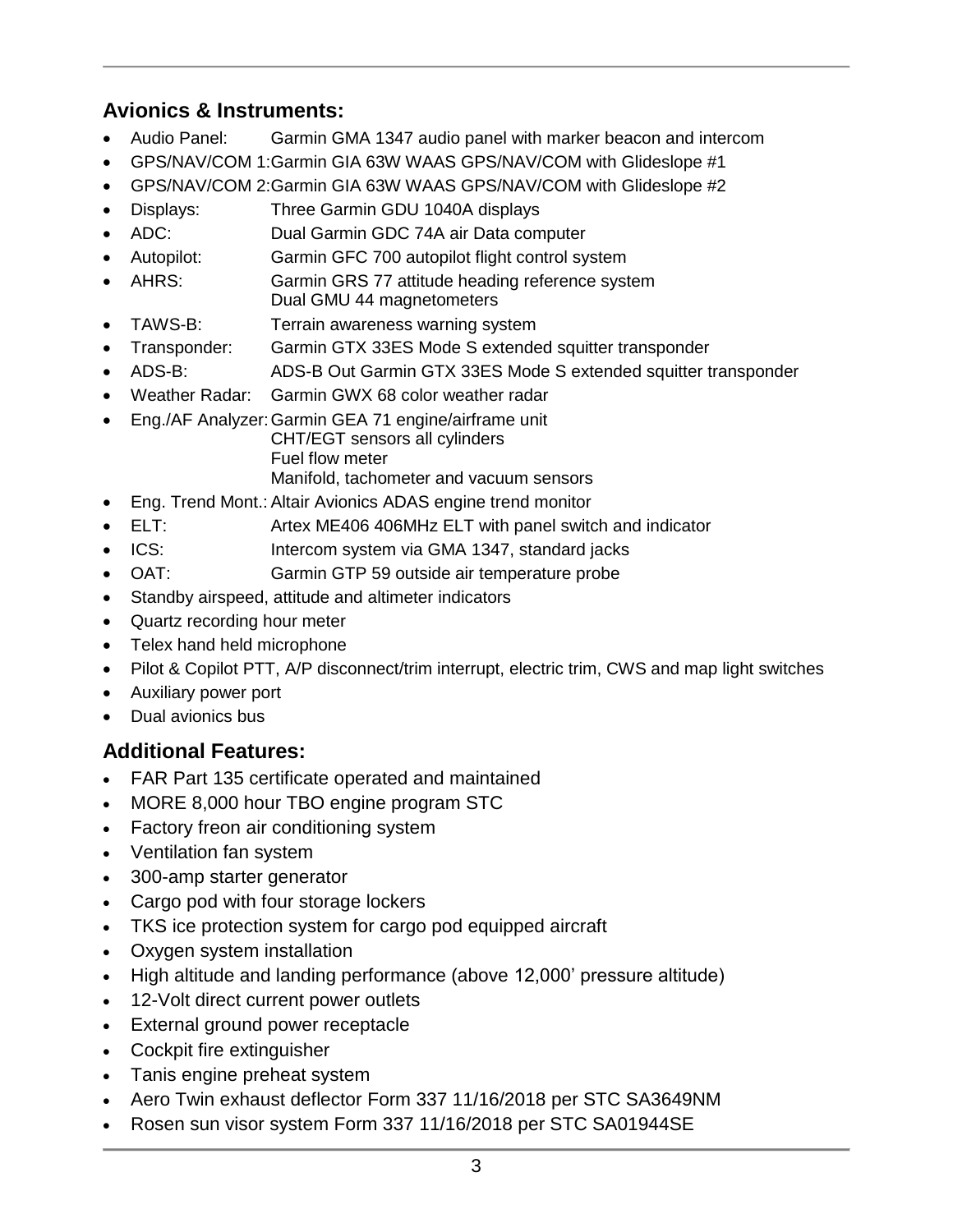#### **Avionics & Instruments:**

- Audio Panel: Garmin GMA 1347 audio panel with marker beacon and intercom
- GPS/NAV/COM 1:Garmin GIA 63W WAAS GPS/NAV/COM with Glideslope #1
- GPS/NAV/COM 2:Garmin GIA 63W WAAS GPS/NAV/COM with Glideslope #2
- Displays: Three Garmin GDU 1040A displays
- ADC: Dual Garmin GDC 74A air Data computer
- Autopilot: Garmin GFC 700 autopilot flight control system
- AHRS: Garmin GRS 77 attitude heading reference system Dual GMU 44 magnetometers
- TAWS-B: Terrain awareness warning system
- Transponder: Garmin GTX 33ES Mode S extended squitter transponder
- ADS-B: ADS-B Out Garmin GTX 33ES Mode S extended squitter transponder
- Weather Radar: Garmin GWX 68 color weather radar
- Eng./AF Analyzer:Garmin GEA 71 engine/airframe unit CHT/EGT sensors all cylinders Fuel flow meter Manifold, tachometer and vacuum sensors
- Eng. Trend Mont.: Altair Avionics ADAS engine trend monitor
- ELT: Artex ME406 406MHz ELT with panel switch and indicator
- ICS: Intercom system via GMA 1347, standard jacks
- OAT: Garmin GTP 59 outside air temperature probe
- Standby airspeed, attitude and altimeter indicators
- Quartz recording hour meter
- Telex hand held microphone
- Pilot & Copilot PTT, A/P disconnect/trim interrupt, electric trim, CWS and map light switches
- Auxiliary power port
- Dual avionics bus

#### **Additional Features:**

- FAR Part 135 certificate operated and maintained
- MORE 8,000 hour TBO engine program STC
- Factory freon air conditioning system
- Ventilation fan system
- 300-amp starter generator
- Cargo pod with four storage lockers
- TKS ice protection system for cargo pod equipped aircraft
- Oxygen system installation
- High altitude and landing performance (above 12,000' pressure altitude)
- 12-Volt direct current power outlets
- External ground power receptacle
- Cockpit fire extinguisher
- Tanis engine preheat system
- Aero Twin exhaust deflector Form 337 11/16/2018 per STC SA3649NM
- Rosen sun visor system Form 337 11/16/2018 per STC SA01944SE